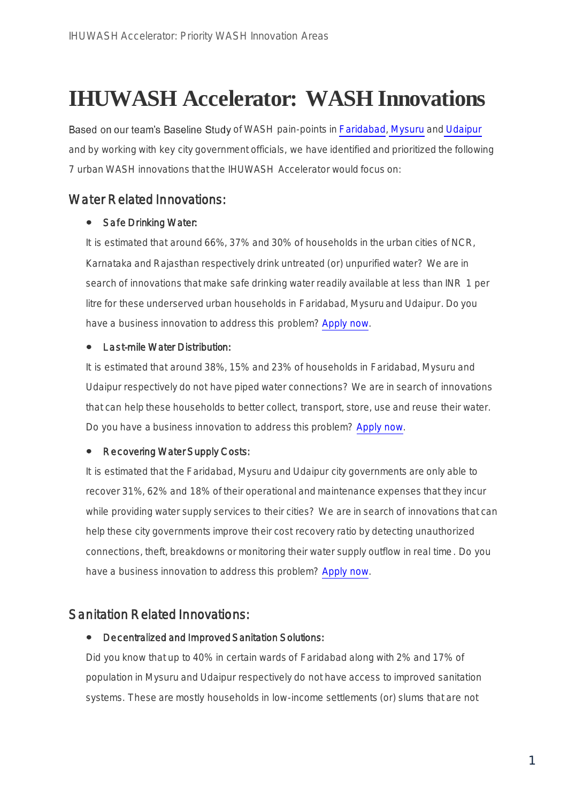# **IHUWASH Accelerator: WASH Innovations**

Based on our team's Baseline Study of WASH pain-points i[n Faridabad](https://www.mcfbd.com/)[,](http://www.mysorecity.mrc.gov.in/) [Mysuru](http://www.mysorecity.mrc.gov.in/) an[d](http://www.udaipurmc.org/static/default.aspx) [Udaipur](http://www.udaipurmc.org/static/default.aspx) and by working with key city government officials, we have identified and prioritized the following 7 urban WASH innovations that the IHUWASH Accelerator would focus on:

# Water Related Innovations:

# • Safe Drinking Water:

It is estimated that around 66%, 37% and 30% of households in the urban cities of NCR, Karnataka and Rajasthan respectively drink untreated (or) unpurified water? We are in search of innovations that make safe drinking water readily available at less than INR 1 per litre for these underserved urban households in Faridabad, Mysuru and Udaipur. Do you have a business innovation to address this problem? [Apply now.](http://ihuwashaccl.niua.org/)

# • Last-mile Water Distribution:

It is estimated that around 38%, 15% and 23% of households in Faridabad, Mysuru and Udaipur respectively do not have piped water connections? We are in search of innovations that can help these households to better collect, transport, store, use and reuse their water. Do you have a business innovation to address this problem? [Apply now.](http://ihuwashaccl.niua.org/)

# • Recovering Water Supply Costs:

It is estimated that the Faridabad, Mysuru and Udaipur city governments are only able to recover 31%, 62% and 18% of their operational and maintenance expenses that they incur while providing water supply services to their cities? We are in search of innovations that can help these city governments improve their cost recovery ratio by detecting unauthorized connections, theft, breakdowns or monitoring their water supply outflow in real time. Do you have a business innovation to address this problem? [Apply now.](http://ihuwashaccl.niua.org/)

# Sanitation Related Innovations:

#### $\bullet$ Decentralized and Improved Sanitation Solutions:

Did you know that up to 40% in certain wards of Faridabad along with 2% and 17% of population in Mysuru and Udaipur respectively do not have access to improved sanitation systems. These are mostly households in low-income settlements (or) slums that are not